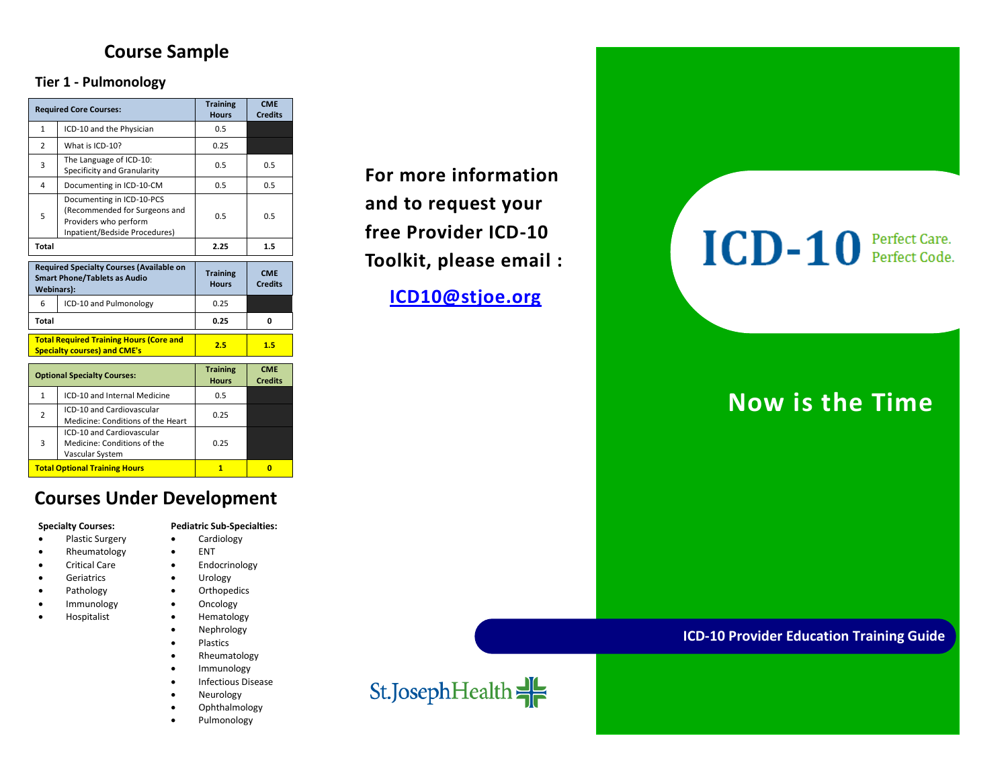### **Course Sample**

### **Tier 1 - Pulmonology**

| <b>Required Core Courses:</b>                                                                               |                                                                                                                      | <b>Training</b><br><b>Hours</b> | <b>CME</b><br><b>Credits</b> |
|-------------------------------------------------------------------------------------------------------------|----------------------------------------------------------------------------------------------------------------------|---------------------------------|------------------------------|
| $\mathbf{1}$                                                                                                | ICD-10 and the Physician                                                                                             | 0.5                             |                              |
| $\overline{2}$                                                                                              | What is ICD-10?                                                                                                      | 0.25                            |                              |
| 3                                                                                                           | The Language of ICD-10:<br>Specificity and Granularity                                                               | 0.5                             | 0.5                          |
| 4                                                                                                           | Documenting in ICD-10-CM                                                                                             | 0.5                             | 0.5                          |
| 5                                                                                                           | Documenting in ICD-10-PCS<br>(Recommended for Surgeons and<br>Providers who perform<br>Inpatient/Bedside Procedures) | 0.5                             | 0.5                          |
| <b>Total</b>                                                                                                |                                                                                                                      | 2.25                            | 1.5                          |
| <b>Required Specialty Courses (Available on</b><br><b>Smart Phone/Tablets as Audio</b><br><b>Webinars):</b> |                                                                                                                      | <b>Training</b><br><b>Hours</b> | <b>CME</b><br><b>Credits</b> |
| 6                                                                                                           | ICD-10 and Pulmonology                                                                                               | 0.25                            |                              |
| <b>Total</b>                                                                                                |                                                                                                                      | 0.25                            | 0                            |
| <b>Total Required Training Hours (Core and</b><br><b>Specialty courses) and CME's</b>                       |                                                                                                                      | 2.5                             | 1.5                          |
| <b>Optional Specialty Courses:</b>                                                                          |                                                                                                                      | <b>Training</b><br><b>Hours</b> | <b>CME</b><br><b>Credits</b> |
| $\mathbf{1}$                                                                                                | ICD-10 and Internal Medicine                                                                                         | 0.5                             |                              |
| $\overline{2}$                                                                                              | ICD-10 and Cardiovascular<br>Medicine: Conditions of the Heart                                                       | 0.25                            |                              |
| 3                                                                                                           | ICD-10 and Cardiovascular<br>Medicine: Conditions of the<br>Vascular System                                          | 0.25                            |                              |
| <b>Total Optional Training Hours</b>                                                                        |                                                                                                                      | $\mathbf{1}$                    | O                            |

### **Courses Under Development**

- 
- Rheumatology ENT
- 
- Geriatrics **•** Urology
- 
- Immunology **•** Oncology
- Hospitalist **·** Hematology
- **Specialty Courses: Pediatric Sub-Specialties:**
	- Plastic Surgery **•** Cardiology
		-
	- Critical Care **Care Endocrinology** 
		-
	- Pathology **•** Orthopedics
		-
		-
		- Nephrology Plastics
		- Rheumatology
		- Immunology
		- Infectious Disease
		- Neurology
		- Ophthalmology
		- Pulmonology

**For more information and to request your free Provider ICD-10 Toolkit, please email :** 

**[ICD10@stjoe.org](mailto:ICD10@stjoe.org)**

# **ICD-10** Perfect Care.

## **Now is the Time**

 **ICD-10 Provider Education Training Guide**